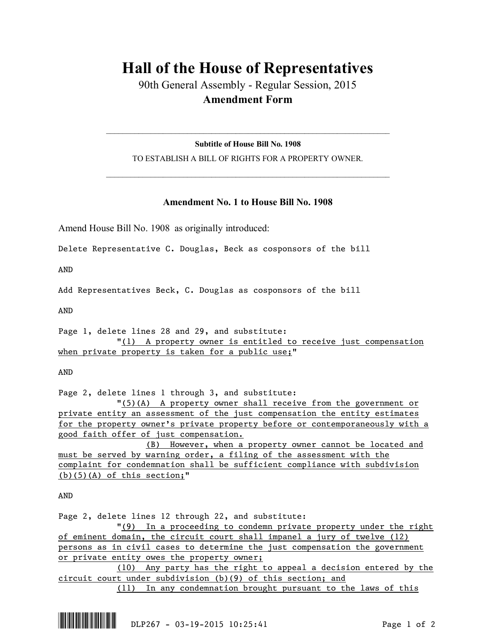## **Hall of the House of Representatives**

90th General Assembly - Regular Session, 2015 **Amendment Form**

**Subtitle of House Bill No. 1908** TO ESTABLISH A BILL OF RIGHTS FOR A PROPERTY OWNER.

 $\mathcal{L}_\text{max}$  and  $\mathcal{L}_\text{max}$  and  $\mathcal{L}_\text{max}$  and  $\mathcal{L}_\text{max}$  and  $\mathcal{L}_\text{max}$  and  $\mathcal{L}_\text{max}$ 

 $\mathcal{L}_\text{max}$  and  $\mathcal{L}_\text{max}$  and  $\mathcal{L}_\text{max}$  and  $\mathcal{L}_\text{max}$  and  $\mathcal{L}_\text{max}$  and  $\mathcal{L}_\text{max}$ 

## **Amendment No. 1 to House Bill No. 1908**

Amend House Bill No. 1908 as originally introduced:

Delete Representative C. Douglas, Beck as cosponsors of the bill

AND

Add Representatives Beck, C. Douglas as cosponsors of the bill

AND

Page 1, delete lines 28 and 29, and substitute: "(1) A property owner is entitled to receive just compensation when private property is taken for a public use;"

AND

Page 2, delete lines 1 through 3, and substitute:

"(5)(A) A property owner shall receive from the government or private entity an assessment of the just compensation the entity estimates for the property owner's private property before or contemporaneously with a good faith offer of just compensation.

(B) However, when a property owner cannot be located and must be served by warning order, a filing of the assessment with the complaint for condemnation shall be sufficient compliance with subdivision  $(b)(5)(A)$  of this section;"

AND

Page 2, delete lines 12 through 22, and substitute:

"(9) In a proceeding to condemn private property under the right of eminent domain, the circuit court shall impanel a jury of twelve (12) persons as in civil cases to determine the just compensation the government or private entity owes the property owner;

(10) Any party has the right to appeal a decision entered by the circuit court under subdivision (b)(9) of this section; and

(11) In any condemnation brought pursuant to the laws of this